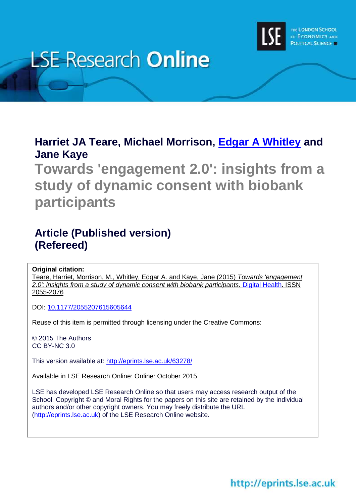

# **LSE Research Online**

# **Harriet JA Teare, Michael Morrison, [Edgar A Whitley](http://www.lse.ac.uk/researchAndExpertise/Experts/profile.aspx?KeyValue=e.a.whitley@lse.ac.uk) and Jane Kaye**

**Towards 'engagement 2.0': insights from a study of dynamic consent with biobank participants**

# **Article (Published version) (Refereed)**

**Original citation:**

Teare, Harriet, Morrison, M., Whitley, Edgar A. and Kaye, Jane (2015) *Towards 'engagement 2.0': insights from a study of dynamic consent with biobank participants.* [Digital Health.](http://dhj.sagepub.com/) ISSN 2055-2076

DOI: [10.1177/2055207615605644](http://dx.doi.org/10.1177/2055207615605644)

Reuse of this item is permitted through licensing under the Creative Commons:

© 2015 The Authors CC BY-NC 3.0

This version available at:<http://eprints.lse.ac.uk/63278/>

Available in LSE Research Online: Online: October 2015

LSE has developed LSE Research Online so that users may access research output of the School. Copyright © and Moral Rights for the papers on this site are retained by the individual authors and/or other copyright owners. You may freely distribute the URL (http://eprints.lse.ac.uk) of the LSE Research Online website.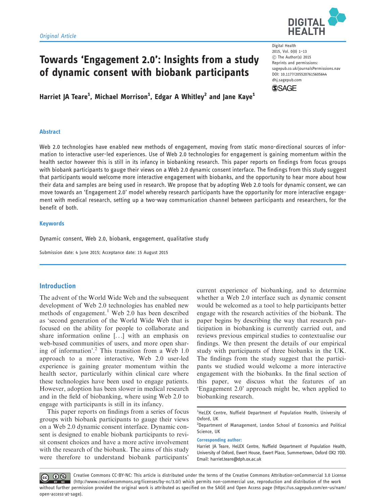

# Towards 'Engagement 2.0': Insights from a study of dynamic consent with biobank participants

Harriet JA Teare<sup>1</sup>, Michael Morrison<sup>1</sup>, Edgar A Whitley<sup>2</sup> and Jane Kaye<sup>1</sup>

#### Abstract

Web 2.0 technologies have enabled new methods of engagement, moving from static mono-directional sources of information to interactive user-led experiences. Use of Web 2.0 technologies for engagement is gaining momentum within the health sector however this is still in its infancy in biobanking research. This paper reports on findings from focus groups with biobank participants to gauge their views on a Web 2.0 dynamic consent interface. The findings from this study suggest that participants would welcome more interactive engagement with biobanks, and the opportunity to hear more about how their data and samples are being used in research. We propose that by adopting Web 2.0 tools for dynamic consent, we can move towards an 'Engagement 2.0' model whereby research participants have the opportunity for more interactive engagement with medical research, setting up a two-way communication channel between participants and researchers, for the benefit of both.

#### Keywords

Dynamic consent, Web 2.0, biobank, engagement, qualitative study

Submission date: 4 June 2015; Acceptance date: 15 August 2015

#### Introduction

The advent of the World Wide Web and the subsequent development of Web 2.0 technologies has enabled new methods of engagement.<sup>1</sup> Web 2.0 has been described as 'second generation of the World Wide Web that is focused on the ability for people to collaborate and share information online [...] with an emphasis on web-based communities of users, and more open sharing of information'.<sup>2</sup> This transition from a Web  $1.0$ approach to a more interactive, Web 2.0 user-led experience is gaining greater momentum within the health sector, particularly within clinical care where these technologies have been used to engage patients. However, adoption has been slower in medical research and in the field of biobanking, where using Web 2.0 to engage with participants is still in its infancy.

This paper reports on findings from a series of focus groups with biobank participants to gauge their views on a Web 2.0 dynamic consent interface. Dynamic consent is designed to enable biobank participants to revisit consent choices and have a more active involvement with the research of the biobank. The aims of this study were therefore to understand biobank participants'

current experience of biobanking, and to determine whether a Web 2.0 interface such as dynamic consent would be welcomed as a tool to help participants better engage with the research activities of the biobank. The paper begins by describing the way that research participation in biobanking is currently carried out, and reviews previous empirical studies to contextualise our findings. We then present the details of our empirical study with participants of three biobanks in the UK. The findings from the study suggest that the participants we studied would welcome a more interactive engagement with the biobanks. In the final section of this paper, we discuss what the features of an 'Engagement 2.0' approach might be, when applied to biobanking research.

Corresponding author:

Creative Commons CC-BY-NC: This article is distributed under the terms of the Creative Commons Attribution-onCommercial 3.0 License  $\circledcirc$   $\circledcirc$ (http://www.creativecommons.org/licenses/by-nc/3.0/) which permits non-commercial use, reproduction and distribution of the work without further permission provided the original work is attributed as specified on the SAGE and Open Access page (https://us.sagepub.com/en-us/nam/ open-access-at-sage).

Digital Health 2015, Vol. 0(0) 1–13 C The Author(s) 2015 Reprints and permissions: sagepub.co.uk/journalsPermissions.nav DOI: 10.1177/2055207615605644 dhj.sagepub.com



<sup>&</sup>lt;sup>1</sup>HeLEX Centre, Nuffield Department of Population Health, University of Oxford, UK

<sup>&</sup>lt;sup>2</sup>Department of Management, London School of Economics and Political Science, UK

Harriet JA Teare, HeLEX Centre, Nuffield Department of Population Health, University of Oxford, Ewert House, Ewert Place, Summertown, Oxford OX2 7DD. Email: harriet.teare@dph.ox.ac.uk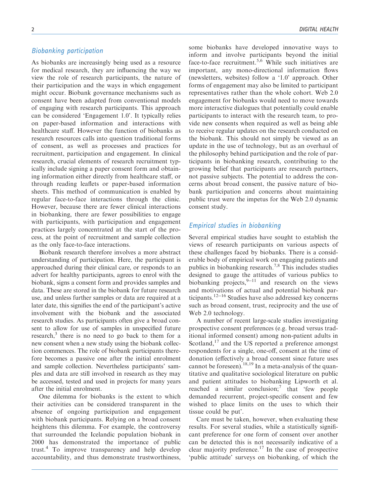#### Biobanking participation

As biobanks are increasingly being used as a resource for medical research, they are influencing the way we view the role of research participants, the nature of their participation and the ways in which engagement might occur. Biobank governance mechanisms such as consent have been adapted from conventional models of engaging with research participants. This approach can be considered 'Engagement 1.0'. It typically relies on paper-based information and interactions with healthcare staff. However the function of biobanks as research resources calls into question traditional forms of consent, as well as processes and practices for recruitment, participation and engagement. In clinical research, crucial elements of research recruitment typically include signing a paper consent form and obtaining information either directly from healthcare staff, or through reading leaflets or paper-based information sheets. This method of communication is enabled by regular face-to-face interactions through the clinic. However, because there are fewer clinical interactions in biobanking, there are fewer possibilities to engage with participants, with participation and engagement practices largely concentrated at the start of the process, at the point of recruitment and sample collection as the only face-to-face interactions.

Biobank research therefore involves a more abstract understanding of participation. Here, the participant is approached during their clinical care, or responds to an advert for healthy participants, agrees to enrol with the biobank, signs a consent form and provides samples and data. These are stored in the biobank for future research use, and unless further samples or data are required at a later date, this signifies the end of the participant's active involvement with the biobank and the associated research studies. As participants often give a broad consent to allow for use of samples in unspecified future research,<sup>3</sup> there is no need to go back to them for a new consent when a new study using the biobank collection commences. The role of biobank participants therefore becomes a passive one after the initial enrolment and sample collection. Nevertheless participants' samples and data are still involved in research as they may be accessed, tested and used in projects for many years after the initial enrolment.

One dilemma for biobanks is the extent to which their activities can be considered transparent in the absence of ongoing participation and engagement with biobank participants. Relying on a broad consent heightens this dilemma. For example, the controversy that surrounded the Icelandic population biobank in 2000 has demonstrated the importance of public trust.<sup>4</sup> To improve transparency and help develop accountability, and thus demonstrate trustworthiness,

some biobanks have developed innovative ways to inform and involve participants beyond the initial face-to-face recruitment.<sup>5,6</sup> While such initiatives are important, any mono-directional information flows (newsletters, websites) follow a '1.0' approach. Other forms of engagement may also be limited to participant representatives rather than the whole cohort. Web 2.0 engagement for biobanks would need to move towards more interactive dialogues that potentially could enable participants to interact with the research team, to provide new consents when required as well as being able to receive regular updates on the research conducted on the biobank. This should not simply be viewed as an update in the use of technology, but as an overhaul of the philosophy behind participation and the role of participants in biobanking research, contributing to the growing belief that participants are research partners, not passive subjects. The potential to address the concerns about broad consent, the passive nature of biobank participation and concerns about maintaining public trust were the impetus for the Web 2.0 dynamic consent study.

## Empirical studies in biobanking

Several empirical studies have sought to establish the views of research participants on various aspects of these challenges faced by biobanks. There is a considerable body of empirical work on engaging patients and publics in biobanking research.<sup>7,8</sup> This includes studies designed to gauge the attitudes of various publics to biobanking projects,  $9-11$  and research on the views and motivations of actual and potential biobank participants.<sup>12-16</sup> Studies have also addressed key concerns such as broad consent, trust, reciprocity and the use of Web 2.0 technology.

A number of recent large-scale studies investigating prospective consent preferences (e.g. broad versus traditional informed consent) among non-patient adults in Scotland, $17$  and the US reported a preference amongst respondents for a single, one-off, consent at the time of donation (effectively a broad consent since future uses cannot be foreseen).<sup>18,19</sup> In a meta-analysis of the quantitative and qualitative sociological literature on public and patient attitudes to biobanking Lipworth et al. reached a similar conclusion;<sup>7</sup> that 'few people demanded recurrent, project-specific consent and few wished to place limits on the uses to which their tissue could be put'.

Care must be taken, however, when evaluating these results. For several studies, while a statistically significant preference for one form of consent over another can be detected this is not necessarily indicative of a clear majority preference.<sup>17</sup> In the case of prospective 'public attitude' surveys on biobanking, of which the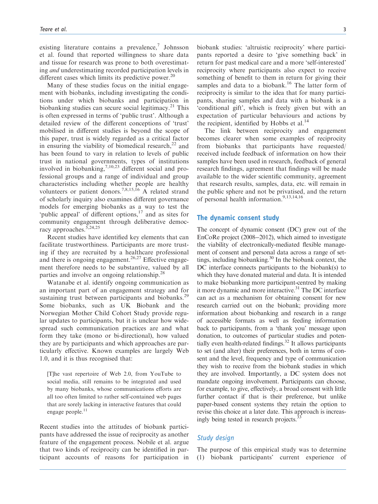existing literature contains a prevalence, $\bar{z}$  Johnsson et al. found that reported willingness to share data and tissue for research was prone to both overestimating and underestimating recorded participation levels in different cases which limits its predictive power.<sup>20</sup>

Many of these studies focus on the initial engagement with biobanks, including investigating the conditions under which biobanks and participation in biobanking studies can secure social legitimacy.<sup>21</sup> This is often expressed in terms of 'public trust'. Although a detailed review of the different conceptions of 'trust' mobilised in different studies is beyond the scope of this paper, trust is widely regarded as a critical factor in ensuring the viability of biomedical research, $22$  and has been found to vary in relation to levels of public trust in national governments, types of institutions involved in biobanking, $^{7,10,23}$  different social and professional groups and a range of individual and group characteristics including whether people are healthy volunteers or patient donors.<sup>7,8,15,16</sup> A related strand of scholarly inquiry also examines different governance models for emerging biobanks as a way to test the 'public appeal' of different options, $17$  and as sites for community engagement through deliberative democracy approaches.  $5,24,25$ 

Recent studies have identified key elements that can facilitate trustworthiness. Participants are more trusting if they are recruited by a healthcare professional and there is ongoing engagement.<sup>26,27</sup> Effective engagement therefore needs to be substantive, valued by all parties and involve an ongoing relationship.<sup>28</sup>

Watanabe et al. identify ongoing communication as an important part of an engagement strategy and for sustaining trust between participants and biobanks.<sup>29</sup> Some biobanks, such as UK Biobank and the Norwegian Mother Child Cohort Study provide regular updates to participants, but it is unclear how widespread such communication practices are and what form they take (mono or bi-directional), how valued they are by participants and which approaches are particularly effective. Known examples are largely Web 1.0, and it is thus recognised that:

[T]he vast repertoire of Web 2.0, from YouTube to social media, still remains to be integrated and used by many biobanks, whose communications efforts are all too often limited to rather self-contained web pages that are sorely lacking in interactive features that could engage people.<sup>11</sup>

Recent studies into the attitudes of biobank participants have addressed the issue of reciprocity as another feature of the engagement process. Nobile et al. argue that two kinds of reciprocity can be identified in participant accounts of reasons for participation in biobank studies: 'altruistic reciprocity' where participants reported a desire to 'give something back' in return for past medical care and a more 'self-interested' reciprocity where participants also expect to receive something of benefit to them in return for giving their samples and data to a biobank.<sup>16</sup> The latter form of reciprocity is similar to the idea that for many participants, sharing samples and data with a biobank is a 'conditional gift', which is freely given but with an expectation of particular behaviours and actions by the recipient, identified by Hobbs et al. $^{14}$ 

The link between reciprocity and engagement becomes clearer when some examples of reciprocity from biobanks that participants have requested/ received include feedback of information on how their samples have been used in research, feedback of general research findings, agreement that findings will be made available to the wider scientific community, agreement that research results, samples, data, etc. will remain in the public sphere and not be privatised, and the return of personal health information.9,13,14,16

#### The dynamic consent study

The concept of dynamic consent (DC) grew out of the EnCoRe project (2008-2012), which aimed to investigate the viability of electronically-mediated flexible management of consent and personal data across a range of settings, including biobanking.<sup>30</sup> In the biobank context, the DC interface connects participants to the biobank(s) to which they have donated material and data. It is intended to make biobanking more participant-centred by making it more dynamic and more interactive.<sup>31</sup> The DC interface can act as a mechanism for obtaining consent for new research carried out on the biobank; providing more information about biobanking and research in a range of accessible formats as well as feeding information back to participants, from a 'thank you' message upon donation, to outcomes of particular studies and potentially even health-related findings. $32$  It allows participants to set (and alter) their preferences, both in terms of consent and the level, frequency and type of communication they wish to receive from the biobank studies in which they are involved. Importantly, a DC system does not mandate ongoing involvement. Participants can choose, for example, to give, effectively, a broad consent with little further contact if that is their preference, but unlike paper-based consent systems they retain the option to revise this choice at a later date. This approach is increasingly being tested in research projects.<sup>3</sup>

#### Study design

The purpose of this empirical study was to determine (1) biobank participants' current experience of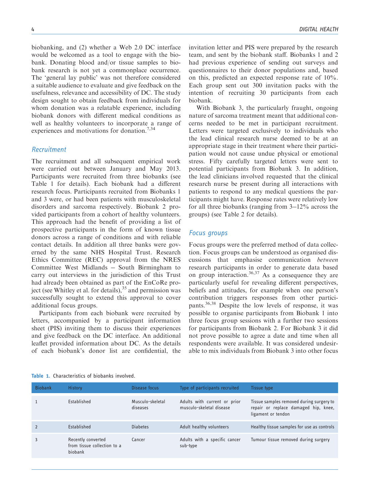biobanking, and (2) whether a Web 2.0 DC interface would be welcomed as a tool to engage with the biobank. Donating blood and/or tissue samples to biobank research is not yet a commonplace occurrence. The 'general lay public' was not therefore considered a suitable audience to evaluate and give feedback on the usefulness, relevance and accessibility of DC. The study design sought to obtain feedback from individuals for whom donation was a relatable experience, including biobank donors with different medical conditions as well as healthy volunteers to incorporate a range of experiences and motivations for donation.<sup>7,34</sup>

#### Recruitment

The recruitment and all subsequent empirical work were carried out between January and May 2013. Participants were recruited from three biobanks (see Table 1 for details). Each biobank had a different research focus. Participants recruited from Biobanks 1 and 3 were, or had been patients with musculoskeletal disorders and sarcoma respectively. Biobank 2 provided participants from a cohort of healthy volunteers. This approach had the benefit of providing a list of prospective participants in the form of known tissue donors across a range of conditions and with reliable contact details. In addition all three banks were governed by the same NHS Hospital Trust. Research Ethics Committee (REC) approval from the NRES Committee West Midlands - South Birmingham to carry out interviews in the jurisdiction of this Trust had already been obtained as part of the EnCoRe project (see Whitley et al. for details),  $35$  and permission was successfully sought to extend this approval to cover additional focus groups.

Participants from each biobank were recruited by letters, accompanied by a participant information sheet (PIS) inviting them to discuss their experiences and give feedback on the DC interface. An additional leaflet provided information about DC. As the details of each biobank's donor list are confidential, the invitation letter and PIS were prepared by the research team, and sent by the biobank staff. Biobanks 1 and 2 had previous experience of sending out surveys and questionnaires to their donor populations and, based on this, predicted an expected response rate of 10%. Each group sent out 300 invitation packs with the intention of recruiting 30 participants from each biobank.

With Biobank 3, the particularly fraught, ongoing nature of sarcoma treatment meant that additional concerns needed to be met in participant recruitment. Letters were targeted exclusively to individuals who the lead clinical research nurse deemed to be at an appropriate stage in their treatment where their participation would not cause undue physical or emotional stress. Fifty carefully targeted letters were sent to potential participants from Biobank 3. In addition, the lead clinicians involved requested that the clinical research nurse be present during all interactions with patients to respond to any medical questions the participants might have. Response rates were relatively low for all three biobanks (ranging from 3-12% across the groups) (see Table 2 for details).

#### Focus groups

Focus groups were the preferred method of data collection. Focus groups can be understood as organised discussions that emphasise communication between research participants in order to generate data based on group interaction.36,37 As a consequence they are particularly useful for revealing different perspectives, beliefs and attitudes, for example when one person's contribution triggers responses from other participants.36,38 Despite the low levels of response, it was possible to organise participants from Biobank 1 into three focus group sessions with a further two sessions for participants from Biobank 2. For Biobank 3 it did not prove possible to agree a date and time when all respondents were available. It was considered undesirable to mix individuals from Biobank 3 into other focus

| <b>Biobank</b> | <b>History</b>                                               | Disease focus                | Type of participants recruited                           | Tissue type                                                                                            |
|----------------|--------------------------------------------------------------|------------------------------|----------------------------------------------------------|--------------------------------------------------------------------------------------------------------|
|                | Established                                                  | Musculo-skeletal<br>diseases | Adults with current or prior<br>musculo-skeletal disease | Tissue samples removed during surgery to<br>repair or replace damaged hip, knee,<br>ligament or tendon |
|                | Established                                                  | <b>Diabetes</b>              | Adult healthy volunteers                                 | Healthy tissue samples for use as controls                                                             |
|                | Recently converted<br>from tissue collection to a<br>biobank | Cancer                       | Adults with a specific cancer<br>sub-type                | Tumour tissue removed during surgery                                                                   |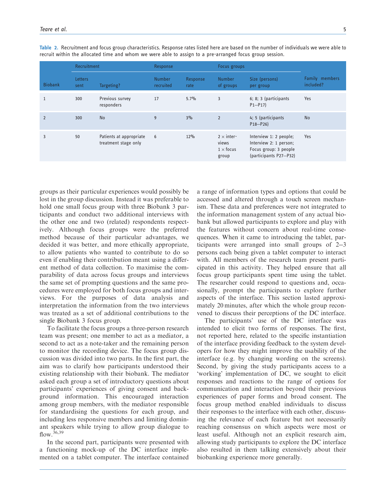|                | Recruitment            |                                                 | Response                   |                  | Focus groups                                            |                                                                                                     |                                    |
|----------------|------------------------|-------------------------------------------------|----------------------------|------------------|---------------------------------------------------------|-----------------------------------------------------------------------------------------------------|------------------------------------|
| <b>Biobank</b> | <b>Letters</b><br>sent | Targeting?                                      | <b>Number</b><br>recruited | Response<br>rate | <b>Number</b><br>of groups                              | Size (persons)<br>per group                                                                         | <b>Family members</b><br>included? |
|                | 300                    | Previous survey<br>responders                   | 17                         | $5.7\%$          | 3                                                       | 6; 8; 3 (participants<br>$P1 - P17$                                                                 | Yes                                |
| $\overline{2}$ | 300                    | <b>No</b>                                       | 9                          | 3%               | $\overline{2}$                                          | 4; 5 (participants<br>$P18 - P26$                                                                   | <b>No</b>                          |
| 3              | 50                     | Patients at appropriate<br>treatment stage only | 6                          | 12%              | $2 \times$ inter-<br>views<br>$1 \times$ focus<br>group | Interview 1: 2 people;<br>Interview 2: 1 person;<br>Focus group: 3 people<br>(participants P27-P32) | <b>Yes</b>                         |

Table 2. Recruitment and focus group characteristics. Response rates listed here are based on the number of individuals we were able to recruit within the allocated time and whom we were able to assign to a pre-arranged focus group session.

groups as their particular experiences would possibly be lost in the group discussion. Instead it was preferable to hold one small focus group with three Biobank 3 participants and conduct two additional interviews with the other one and two (related) respondents respectively. Although focus groups were the preferred method because of their particular advantages, we decided it was better, and more ethically appropriate, to allow patients who wanted to contribute to do so even if enabling their contribution meant using a different method of data collection. To maximise the comparability of data across focus groups and interviews the same set of prompting questions and the same procedures were employed for both focus groups and interviews. For the purposes of data analysis and interpretation the information from the two interviews was treated as a set of additional contributions to the single Biobank 3 focus group.

To facilitate the focus groups a three-person research team was present; one member to act as a mediator, a second to act as a note-taker and the remaining person to monitor the recording device. The focus group discussion was divided into two parts. In the first part, the aim was to clarify how participants understood their existing relationship with their biobank. The mediator asked each group a set of introductory questions about participants' experiences of giving consent and background information. This encouraged interaction among group members, with the mediator responsible for standardising the questions for each group, and including less responsive members and limiting dominant speakers while trying to allow group dialogue to flow.  $36,39$ 

In the second part, participants were presented with a functioning mock-up of the DC interface implemented on a tablet computer. The interface contained a range of information types and options that could be accessed and altered through a touch screen mechanism. These data and preferences were not integrated to the information management system of any actual biobank but allowed participants to explore and play with the features without concern about real-time consequences. When it came to introducing the tablet, participants were arranged into small groups of 2-3 persons each being given a tablet computer to interact with. All members of the research team present participated in this activity. They helped ensure that all focus group participants spent time using the tablet. The researcher could respond to questions and, occasionally, prompt the participants to explore further aspects of the interface. This section lasted approximately 20 minutes, after which the whole group reconvened to discuss their perceptions of the DC interface.

The participants' use of the DC interface was intended to elicit two forms of responses. The first, not reported here, related to the specific instantiation of the interface providing feedback to the system developers for how they might improve the usability of the interface (e.g. by changing wording on the screens). Second, by giving the study participants access to a 'working' implementation of DC, we sought to elicit responses and reactions to the range of options for communication and interaction beyond their previous experiences of paper forms and broad consent. The focus group method enabled individuals to discuss their responses to the interface with each other, discussing the relevance of each feature but not necessarily reaching consensus on which aspects were most or least useful. Although not an explicit research aim, allowing study participants to explore the DC interface also resulted in them talking extensively about their biobanking experience more generally.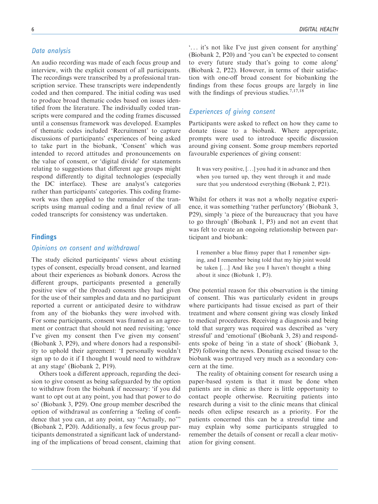## Data analysis

An audio recording was made of each focus group and interview, with the explicit consent of all participants. The recordings were transcribed by a professional transcription service. These transcripts were independently coded and then compared. The initial coding was used to produce broad thematic codes based on issues identified from the literature. The individually coded transcripts were compared and the coding frames discussed until a consensus framework was developed. Examples of thematic codes included 'Recruitment' to capture discussions of participants' experiences of being asked to take part in the biobank, 'Consent' which was intended to record attitudes and pronouncements on the value of consent, or 'digital divide' for statements relating to suggestions that different age groups might respond differently to digital technologies (especially the DC interface). These are analyst's categories rather than participants' categories. This coding framework was then applied to the remainder of the transcripts using manual coding and a final review of all coded transcripts for consistency was undertaken.

#### Findings

#### Opinions on consent and withdrawal

The study elicited participants' views about existing types of consent, especially broad consent, and learned about their experiences as biobank donors. Across the different groups, participants presented a generally positive view of the (broad) consents they had given for the use of their samples and data and no participant reported a current or anticipated desire to withdraw from any of the biobanks they were involved with. For some participants, consent was framed as an agreement or contract that should not need revisiting; 'once I've given my consent then I've given my consent' (Biobank 3, P29), and where donors had a responsibility to uphold their agreement: 'I personally wouldn't sign up to do it if I thought I would need to withdraw at any stage' (Biobank 2, P19).

Others took a different approach, regarding the decision to give consent as being safeguarded by the option to withdraw from the biobank if necessary: 'if you did want to opt out at any point, you had that power to do so' (Biobank 3, P29). One group member described the option of withdrawal as conferring a 'feeling of confidence that you can, at any point, say ''Actually, no''' (Biobank 2, P20). Additionally, a few focus group participants demonstrated a significant lack of understanding of the implications of broad consent, claiming that '... it's not like I've just given consent for anything' (Biobank 2, P20) and 'you can't be expected to consent to every future study that's going to come along' (Biobank 2, P22). However, in terms of their satisfaction with one-off broad consent for biobanking the findings from these focus groups are largely in line with the findings of previous studies.<sup>7,17,18</sup>

## Experiences of giving consent

Participants were asked to reflect on how they came to donate tissue to a biobank. Where appropriate, prompts were used to introduce specific discussion around giving consent. Some group members reported favourable experiences of giving consent:

It was very positive, [...] you had it in advance and then when you turned up, they went through it and made sure that you understood everything (Biobank 2, P21).

Whilst for others it was not a wholly negative experience, it was something 'rather perfunctory' (Biobank 3, P29), simply 'a piece of the bureaucracy that you have to go through' (Biobank 1, P3) and not an event that was felt to create an ongoing relationship between participant and biobank:

I remember a blue flimsy paper that I remember signing, and I remember being told that my hip joint would be taken [...] And like you I haven't thought a thing about it since (Biobank 1, P3).

One potential reason for this observation is the timing of consent. This was particularly evident in groups where participants had tissue excised as part of their treatment and where consent giving was closely linked to medical procedures. Receiving a diagnosis and being told that surgery was required was described as 'very stressful' and 'emotional' (Biobank 3, 28) and respondents spoke of being 'in a state of shock' (Biobank 3, P29) following the news. Donating excised tissue to the biobank was portrayed very much as a secondary concern at the time.

The reality of obtaining consent for research using a paper-based system is that it must be done when patients are in clinic as there is little opportunity to contact people otherwise. Recruiting patients into research during a visit to the clinic means that clinical needs often eclipse research as a priority. For the patients concerned this can be a stressful time and may explain why some participants struggled to remember the details of consent or recall a clear motivation for giving consent.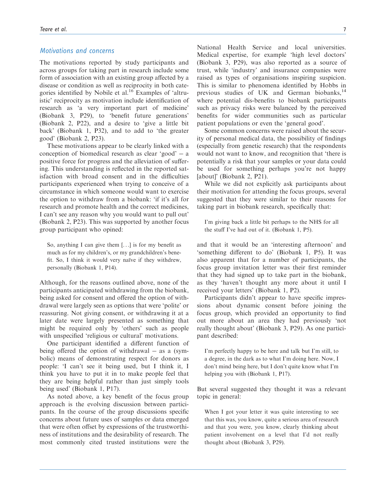#### Motivations and concerns

The motivations reported by study participants and across groups for taking part in research include some form of association with an existing group affected by a disease or condition as well as reciprocity in both categories identified by Nobile et al.<sup>16</sup> Examples of 'altruistic' reciprocity as motivation include identification of research as 'a very important part of medicine' (Biobank 3, P29), to 'benefit future generations' (Biobank 2, P22), and a desire to 'give a little bit back' (Biobank 1, P32), and to add to 'the greater good' (Biobank 2, P23).

These motivations appear to be clearly linked with a  $conception of biomedical research as clear 'good' - a$ positive force for progress and the alleviation of suffering. This understanding is reflected in the reported satisfaction with broad consent and in the difficulties participants experienced when trying to conceive of a circumstance in which someone would want to exercise the option to withdraw from a biobank: 'if it's all for research and promote health and the correct medicines, I can't see any reason why you would want to pull out' (Biobank 2, P23). This was supported by another focus group participant who opined:

So, anything I can give them [...] is for my benefit as much as for my children's, or my grandchildren's benefit. So, I think it would very naïve if they withdrew, personally (Biobank 1, P14).

Although, for the reasons outlined above, none of the participants anticipated withdrawing from the biobank, being asked for consent and offered the option of withdrawal were largely seen as options that were 'polite' or reassuring. Not giving consent, or withdrawing it at a later date were largely presented as something that might be required only by 'others' such as people with unspecified 'religious or cultural' motivations.

One participant identified a different function of being offered the option of withdrawal  $-$  as a (symbolic) means of demonstrating respect for donors as people: 'I can't see it being used, but I think it, I think you have to put it in to make people feel that they are being helpful rather than just simply tools being used' (Biobank 1, P17).

As noted above, a key benefit of the focus group approach is the evolving discussion between participants. In the course of the group discussions specific concerns about future uses of samples or data emerged that were often offset by expressions of the trustworthiness of institutions and the desirability of research. The most commonly cited trusted institutions were the National Health Service and local universities. Medical expertise, for example 'high level doctors' (Biobank 3, P29), was also reported as a source of trust, while 'industry' and insurance companies were raised as types of organisations inspiring suspicion. This is similar to phenomena identified by Hobbs in previous studies of UK and German biobanks,<sup>14</sup> where potential dis-benefits to biobank participants such as privacy risks were balanced by the perceived benefits for wider communities such as particular patient populations or even the 'general good'.

Some common concerns were raised about the security of personal medical data, the possibility of findings (especially from genetic research) that the respondents would not want to know, and recognition that 'there is potentially a risk that your samples or your data could be used for something perhaps you're not happy [about]' (Biobank 2, P21).

While we did not explicitly ask participants about their motivation for attending the focus groups, several suggested that they were similar to their reasons for taking part in biobank research, specifically that:

I'm giving back a little bit perhaps to the NHS for all the stuff I've had out of it. (Biobank 1, P5).

and that it would be an 'interesting afternoon' and 'something different to do' (Biobank 1, P5). It was also apparent that for a number of participants, the focus group invitation letter was their first reminder that they had signed up to take part in the biobank, as they 'haven't thought any more about it until I received your letters' (Biobank 1, P2).

Participants didn't appear to have specific impressions about dynamic consent before joining the focus group, which provided an opportunity to find out more about an area they had previously 'not really thought about' (Biobank 3, P29). As one participant described:

I'm perfectly happy to be here and talk but I'm still, to a degree, in the dark as to what I'm doing here. Now, I don't mind being here, but I don't quite know what I'm helping you with (Biobank 1, P17).

But several suggested they thought it was a relevant topic in general:

When I got your letter it was quite interesting to see that this was, you know, quite a serious area of research and that you were, you know, clearly thinking about patient involvement on a level that I'd not really thought about (Biobank 3, P29).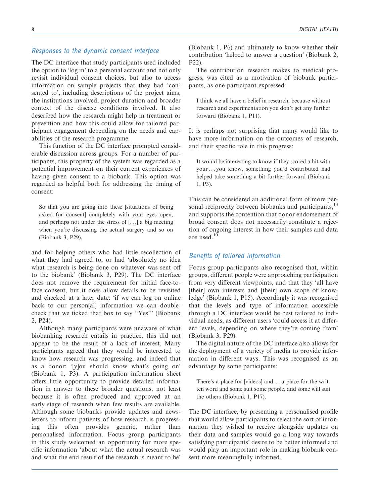## Responses to the dynamic consent interface

The DC interface that study participants used included the option to 'log in' to a personal account and not only revisit individual consent choices, but also to access information on sample projects that they had 'consented to', including descriptions of the project aims, the institutions involved, project duration and broader context of the disease conditions involved. It also described how the research might help in treatment or prevention and how this could allow for tailored participant engagement depending on the needs and capabilities of the research programme.

This function of the DC interface prompted considerable discussion across groups. For a number of participants, this property of the system was regarded as a potential improvement on their current experiences of having given consent to a biobank. This option was regarded as helpful both for addressing the timing of consent:

So that you are going into these [situations of being asked for consent] completely with your eyes open, and perhaps not under the stress of [...] a big meeting when you're discussing the actual surgery and so on (Biobank 3, P29),

and for helping others who had little recollection of what they had agreed to, or had 'absolutely no idea what research is being done on whatever was sent off to the biobank' (Biobank 3, P29). The DC interface does not remove the requirement for initial face-toface consent, but it does allow details to be revisited and checked at a later date: 'if we can log on online back to our person[al] information we can doublecheck that we ticked that box to say ''Yes''' (Biobank 2, P24).

Although many participants were unaware of what biobanking research entails in practice, this did not appear to be the result of a lack of interest. Many participants agreed that they would be interested to know how research was progressing, and indeed that as a donor: '[y]ou should know what's going on' (Biobank 1, P3). A participation information sheet offers little opportunity to provide detailed information in answer to these broader questions, not least because it is often produced and approved at an early stage of research when few results are available. Although some biobanks provide updates and newsletters to inform patients of how research is progressing this often provides generic, rather than personalised information. Focus group participants in this study welcomed an opportunity for more specific information 'about what the actual research was and what the end result of the research is meant to be'

(Biobank 1, P6) and ultimately to know whether their contribution 'helped to answer a question' (Biobank 2, P22).

The contribution research makes to medical progress, was cited as a motivation of biobank participants, as one participant expressed:

I think we all have a belief in research, because without research and experimentation you don't get any further forward (Biobank 1, P11).

It is perhaps not surprising that many would like to have more information on the outcomes of research, and their specific role in this progress:

It would be interesting to know if they scored a hit with your... you know, something you'd contributed had helped take something a bit further forward (Biobank 1, P3).

This can be considered an additional form of more personal reciprocity between biobanks and participants,<sup>14</sup> and supports the contention that donor endorsement of broad consent does not necessarily constitute a rejection of ongoing interest in how their samples and data are used.<sup>10</sup>

## Benefits of tailored information

Focus group participants also recognised that, within groups, different people were approaching participation from very different viewpoints, and that they 'all have [their] own interests and [their] own scope of knowledge' (Biobank 1, P15). Accordingly it was recognised that the levels and type of information accessible through a DC interface would be best tailored to individual needs, as different users 'could access it at different levels, depending on where they're coming from' (Biobank 3, P29).

The digital nature of the DC interface also allows for the deployment of a variety of media to provide information in different ways. This was recognised as an advantage by some participants:

There's a place for [videos] and... a place for the written word and some suit some people, and some will suit the others (Biobank 1, P17).

The DC interface, by presenting a personalised profile that would allow participants to select the sort of information they wished to receive alongside updates on their data and samples would go a long way towards satisfying participants' desire to be better informed and would play an important role in making biobank consent more meaningfully informed.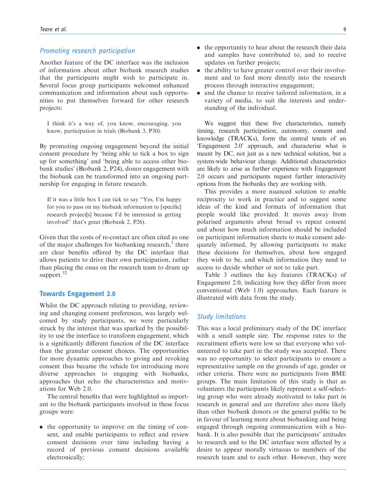#### Promoting research participation

Another feature of the DC interface was the inclusion of information about other biobank research studies that the participants might wish to participate in. Several focus group participants welcomed enhanced communication and information about such opportunities to put themselves forward for other research projects:

I think it's a way of, you know, encouraging, you know, participation in trials (Biobank 3, P30).

By promoting ongoing engagement beyond the initial consent procedure by 'being able to tick a box to sign up for something' and 'being able to access other biobank studies' (Biobank 2, P24), donor engagement with the biobank can be transformed into an ongoing partnership for engaging in future research.

If it was a little box I can tick to say ''Yes, I'm happy for you to pass on my biobank information to [specific] research project[s] because I'd be interested in getting involved'' that's great (Biobank 2, P26).

Given that the costs of re-contact are often cited as one of the major challenges for biobanking research, $3$  there are clear benefits offered by the DC interface that allows patients to drive their own participation, rather than placing the onus on the research team to drum up support.<sup>32</sup>

#### Towards Engagement 2.0

Whilst the DC approach relating to providing, reviewing and changing consent preferences, was largely welcomed by study participants, we were particularly struck by the interest that was sparked by the possibility to use the interface to transform engagement, which is a significantly different function of the DC interface than the granular consent choices. The opportunities for more dynamic approaches to giving and revoking consent thus became the vehicle for introducing more diverse approaches to engaging with biobanks, approaches that echo the characteristics and motivations for Web 2.0.

The central benefits that were highlighted as important to the biobank participants involved in these focus groups were:

. the opportunity to improve on the timing of consent, and enable participants to reflect and review consent decisions over time including having a record of previous consent decisions available electronically;

- the opportunity to hear about the research their data and samples have contributed to, and to receive updates on further projects;
- the ability to have greater control over their involvement and to feed more directly into the research process through interactive engagement;
- . and the chance to receive tailored information, in a variety of media, to suit the interests and understanding of the individual.

We suggest that these five characteristics, namely timing, research participation, autonomy, consent and knowledge (TRACKs), form the central tenets of an 'Engagement 2.0' approach, and characterise what is meant by DC, not just as a new technical solution, but a system-wide behaviour change. Additional characteristics are likely to arise as further experience with Engagement 2.0 occurs and participants request further interactivity options from the biobanks they are working with.

This provides a more nuanced solution to enable reciprocity to work in practice and to suggest some ideas of the kind and formats of information that people would like provided. It moves away from polarised arguments about broad vs repeat consent and about how much information should be included on participant information sheets to make consent adequately informed, by allowing participants to make these decisions for themselves, about how engaged they wish to be, and which information they need to access to decide whether or not to take part.

Table 3 outlines the key features (TRACKs) of Engagement 2.0, indicating how they differ from more conventional (Web 1.0) approaches. Each feature is illustrated with data from the study.

#### Study limitations

This was a local preliminary study of the DC interface with a small sample size. The response rates to the recruitment efforts were low so that everyone who volunteered to take part in the study was accepted. There was no opportunity to select participants to ensure a representative sample on the grounds of age, gender or other criteria. There were no participants from BME groups. The main limitation of this study is that as volunteers the participants likely represent a self-selecting group who were already motivated to take part in research in general and are therefore also more likely than other biobank donors or the general public to be in favour of learning more about biobanking and being engaged through ongoing communication with a biobank. It is also possible that the participants' attitudes to research and to the DC interface were affected by a desire to appear morally virtuous to members of the research team and to each other. However, they were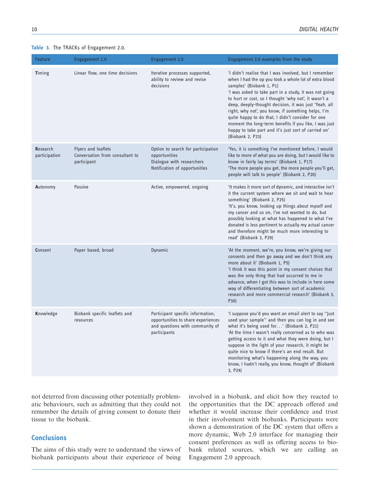|  |  |  |  |  | Table 3. The TRACKs of Engagement 2.0. |  |
|--|--|--|--|--|----------------------------------------|--|
|--|--|--|--|--|----------------------------------------|--|

| Feature                   | Engagement 1.0                                                        | <b>Engagement 2.0</b>                                                                                                      | Engagement 2.0 examples from the study                                                                                                                                                                                                                                                                                                                                                                                                                                                                                                                                |
|---------------------------|-----------------------------------------------------------------------|----------------------------------------------------------------------------------------------------------------------------|-----------------------------------------------------------------------------------------------------------------------------------------------------------------------------------------------------------------------------------------------------------------------------------------------------------------------------------------------------------------------------------------------------------------------------------------------------------------------------------------------------------------------------------------------------------------------|
| Timing                    | Linear flow, one time decisions                                       | Iterative processes supported,<br>ability to review and revise<br>decisions                                                | 'I didn't realise that I was involved, but I remember<br>when I had the op you took a whole lot of extra blood<br>samples' (Biobank 1, P1)<br>'I was asked to take part in a study, it was not going<br>to hurt or cost, so I thought 'why not', it wasn't a<br>deep, deeply-thought decision, it was just 'Yeah, all<br>right, why not', you know, if something helps, I'm<br>quite happy to do that, I didn't consider for one<br>moment the long-term benefits if you like, I was just<br>happy to take part and it's just sort of carried on'<br>(Biobank 2, P23) |
| Research<br>participation | Flyers and leaflets<br>Conversation from consultant to<br>participant | Option to search for participation<br>opportunities<br>Dialogue with researchers<br>Notification of opportunities          | 'Yes, it is something I've mentioned before, I would<br>like to more of what you are doing, but I would like to<br>know in fairly lay terms' (Biobank 1, P17)<br>'The more people you get, the more people you'll get,<br>people will talk to people' (Biobank 2, P20)                                                                                                                                                                                                                                                                                                |
| Autonomy                  | Passive                                                               | Active, empowered, ongoing                                                                                                 | 'It makes it more sort of dynamic, and interactive isn't<br>it the current system where we sit and wait to hear<br>something' (Biobank 2, P25)<br>'It's, you know, looking up things about myself and<br>my cancer and so on, I've not wanted to do, but<br>possibly looking at what has happened to what I've<br>donated is less pertinent to actually my actual cancer<br>and therefore might be much more interesting to<br>read' (Biobank 3, P29)                                                                                                                 |
| Consent                   | Paper based, broad                                                    | <b>Dynamic</b>                                                                                                             | 'At the moment, we're, you know, we're giving our<br>consents and then go away and we don't think any<br>more about it' (Biobank 1, P5)<br>'I think it was this point in my consent choices that<br>was the only thing that had occurred to me in<br>advance, when I got this was to include in here some<br>way of differentiating between sort of academic<br>research and more commercial research' (Biobank 3,<br>P30)                                                                                                                                            |
| Knowledge                 | Biobank specific leaflets and<br>resources                            | Participant specific information,<br>opportunities to share experiences<br>and questions with community of<br>participants | 'I suppose you'd you want an email alert to say "just"<br>used your sample" and then you can log in and see<br>what it's being used for' (Biobank 2, P21)<br>'At the time I wasn't really concerned as to who was<br>getting access to it and what they were doing, but I<br>suppose in the light of your research, it might be<br>quite nice to know if there's an end result. But<br>monitoring what's happening along the way, you<br>know, I hadn't really, you know, thought of' (Biobank<br>3, P29)                                                             |

not deterred from discussing other potentially problematic behaviours, such as admitting that they could not remember the details of giving consent to donate their tissue to the biobank.

# **Conclusions**

The aims of this study were to understand the views of biobank participants about their experience of being involved in a biobank, and elicit how they reacted to the opportunities that the DC approach offered and whether it would increase their confidence and trust in their involvement with biobanks. Participants were shown a demonstration of the DC system that offers a more dynamic, Web 2.0 interface for managing their consent preferences as well as offering access to biobank related sources, which we are calling an Engagement 2.0 approach.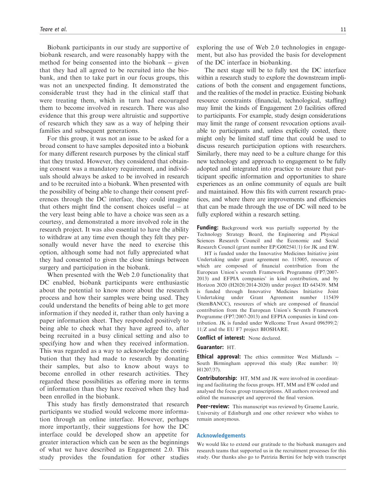Biobank participants in our study are supportive of biobank research, and were reasonably happy with the method for being consented into the biobank  $-$  given that they had all agreed to be recruited into the biobank, and then to take part in our focus groups, this was not an unexpected finding. It demonstrated the considerable trust they had in the clinical staff that were treating them, which in turn had encouraged them to become involved in research. There was also evidence that this group were altruistic and supportive of research which they saw as a way of helping their families and subsequent generations.

For this group, it was not an issue to be asked for a broad consent to have samples deposited into a biobank for many different research purposes by the clinical staff that they trusted. However, they considered that obtaining consent was a mandatory requirement, and individuals should always be asked to be involved in research and to be recruited into a biobank. When presented with the possibility of being able to change their consent preferences through the DC interface, they could imagine that others might find the consent choices useful  $-$  at the very least being able to have a choice was seen as a courtesy, and demonstrated a more involved role in the research project. It was also essential to have the ability to withdraw at any time even though they felt they personally would never have the need to exercise this option, although some had not fully appreciated what they had consented to given the close timings between surgery and participation in the biobank.

When presented with the Web 2.0 functionality that DC enabled, biobank participants were enthusiastic about the potential to know more about the research process and how their samples were being used. They could understand the benefits of being able to get more information if they needed it, rather than only having a paper information sheet. They responded positively to being able to check what they have agreed to, after being recruited in a busy clinical setting and also to specifying how and when they received information. This was regarded as a way to acknowledge the contribution that they had made to research by donating their samples, but also to know about ways to become enrolled in other research activities. They regarded these possibilities as offering more in terms of information than they have received when they had been enrolled in the biobank.

This study has firstly demonstrated that research participants we studied would welcome more information through an online interface. However, perhaps more importantly, their suggestions for how the DC interface could be developed show an appetite for greater interaction which can be seen as the beginnings of what we have described as Engagement 2.0. This study provides the foundation for other studies exploring the use of Web 2.0 technologies in engagement, but also has provided the basis for development of the DC interface in biobanking.

The next stage will be to fully test the DC interface within a research study to explore the downstream implications of both the consent and engagement functions, and the realities of the model in practice. Existing biobank resource constraints (financial, technological, staffing) may limit the kinds of Engagement 2.0 facilities offered to participants. For example, study design considerations may limit the range of consent revocation options available to participants and, unless explicitly costed, there might only be limited staff time that could be used to discuss research participation options with researchers. Similarly, there may need to be a culture change for this new technology and approach to engagement to be fully adopted and integrated into practice to ensure that participant specific information and opportunities to share experiences as an online community of equals are built and maintained. How this fits with current research practices, and where there are improvements and efficiencies that can be made through the use of DC will need to be fully explored within a research setting.

Funding: Background work was partially supported by the Technology Strategy Board, the Engineering and Physical Sciences Research Council and the Economic and Social Research Council (grant number EP/G002541/1) for JK and EW.

HT is funded under the Innovative Medicines Initiative joint Undertaking under grant agreement no. 115005, resources of which are composed of financial contribution from the European Union's seventh Framework Programme (FP7/2007- 2013) and EFPIA companies' in kind contribution, and by Horizon 2020 (H2020/2014-2020) under project ID 643439. MM is funded through Innovative Medicines Initiative Joint Undertaking under Grant Agreement number 115439 (StemBANCC), resources of which are composed of financial contribution from the European Union's Seventh Framework Programme (FP7/2007-2013) and EFPIA companies in kind contribution. JK is funded under Wellcome Trust Award 096599/2/ 11/Z and the EU F7 project BIOSHARE.

Conflict of interest: None declared.

#### Guarantor: HT.

Ethical approval: The ethics committee West Midlands -South Birmingham approved this study (Rec number: 10/ H1207/37).

**Contributorship:** HT, MM and JK were involved in coordinating and facilitating the focus groups. HT, MM and EW coded and analysed the focus group transcriptions. All authors reviewed and edited the manuscript and approved the final version.

**Peer-review:** This manuscript was reviewed by Graeme Laurie, University of Edinburgh and one other reviewer who wishes to remain anonymous.

#### Acknowledgements

We would like to extend our gratitude to the biobank managers and research teams that supported us in the recruitment processes for this study. Our thanks also go to Patrizia Bertini for help with transcript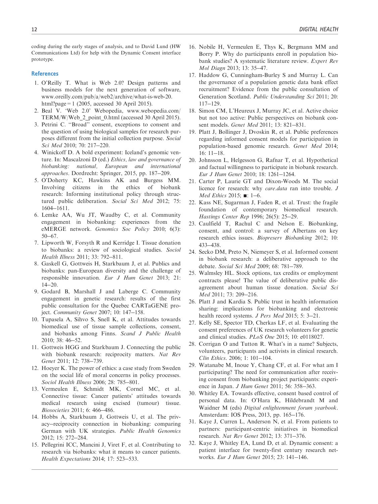coding during the early stages of analysis, and to David Lund (HW Communications Ltd) for help with the Dynamic Consent interface prototype.

#### **References**

- 1. O'Reilly T. What is Web 2.0? Design patterns and business models for the next generation of software, [www.oreilly.com/pub/a/web2/archive/what-is-web-20.](www.oreilly.com/pub/a/web2/archive/what-is-web-20.html?page=1) [html?page=1](www.oreilly.com/pub/a/web2/archive/what-is-web-20.html?page=1) (2005, accessed 30 April 2015).
- 2. Beal V. 'Web 2.0' Webopedia, [www.webopedia.com/](www.webopedia.com/TERM/W/Web_2_point_0.html) [TERM/W/Web\\_2\\_point\\_0.html](www.webopedia.com/TERM/W/Web_2_point_0.html) (accessed 30 April 2015).
- 3. Petrini C. ''Broad'' consent, exceptions to consent and the question of using biological samples for research purposes different from the initial collection purpose. Social Sci Med 2010; 70: 217-220.
- 4. Winickoff D. A bold experiment: Iceland's genomic venture. In: Mascalzoni D (ed.) Ethics, law and governance of biobanking: national, European and international approaches. Dordrecht: Springer, 2015, pp. 187-209.
- 5. O'Doherty KC, Hawkins AK and Burgess MM. Involving citizens in the ethics of biobank research: Informing institutional policy through structured public deliberation. Social Sci Med 2012; 75: 1604-1611.
- 6. Lemke AA, Wu JT, Waudby C, et al. Community engagement in biobanking: experiences from the eMERGE network. Genomics Soc Policy 2010; 6(3): 50-67.
- 7. Lipworth W, Forsyth R and Kerridge I. Tissue donation to biobanks: a review of sociological studies. Sociol Health Illness 2011; 33: 792-811.
- 8. Gaskell G, Gottweis H, Starkbaum J, et al. Publics and biobanks: pan-European diversity and the challenge of responsible innovation. Eur J Hum Genet 2013; 21: 14-20.
- 9. Godard B, Marshall J and Laberge C. Community engagement in genetic research: results of the first public consultation for the Quebec CARTaGENE project. Community Genet 2007; 10: 147-158.
- 10. Tupasela A, Sihvo S, Snell K, et al. Attitudes towards biomedical use of tissue sample collections, consent, and biobanks among Finns. Scand J Public Health 2010; 38: 46-52.
- 11. Gottweis HGG and Starkbaum J. Connecting the public with biobank research: reciprocity matters. Nat Rev Genet 2011; 12: 738-739.
- 12. Hoeyer K. The power of ethics: a case study from Sweden on the social life of moral concerns in policy processes. Sociol Health Illness 2006; 28: 785-801.
- 13. Vermeulen E, Schmidt MK, Cornel MC, et al. Connective tissue: Cancer patients' attitudes towards medical research using excised (tumour) tissue. Biosocieties 2011; 6: 466-486.
- 14. Hobbs A, Starkbaum J, Gottweis U, et al. The privacy-reciprocity connection in biobanking: comparing German with UK strategies. Public Health Genomics 2012; 15: 272-284.
- 15. Pellegrini ICC, Mancini J, Viret F, et al. Contributing to research via biobanks: what it means to cancer patients. Health Expectations 2014; 17: 523-533.
- 16. Nobile H, Vermeulen E, Thys K, Bergmann MM and Borry P. Why do participants enroll in population biobank studies? A systematic literature review. Expert Rev Mol Diagn 2013; 13: 35-47.
- 17. Haddow G, Cunningham-Burley S and Murray L. Can the governance of a population genetic data bank effect recruitment? Evidence from the public consultation of Generation Scotland. Public Understanding Sci 2011; 20: 117-129.
- 18. Simon CM, L'Heureux J, Murray JC, et al. Active choice but not too active: Public perspectives on biobank consent models. Genet Med 2011; 13: 821-831.
- 19. Platt J, Bollinger J, Dvoskin R, et al. Public preferences regarding informed consent models for participation in population-based genomic research. Genet Med 2014; 16: 11-18.
- 20. Johnsson L, Helgesson G, Rafnar T, et al. Hypothetical and factual willingness to participate in biobank research. Eur J Hum Genet 2010; 18: 1261-1264.
- 21. Carter P, Laurie GT and Dixon-Woods M. The social licence for research: why care.data ran into trouble. J Med Ethics 2015; **■**: 1-6.
- 22. Kass NE, Sugarman J, Faden R, et al. Trust: the fragile foundation of contemporary biomedical research. Hastings Center Rep 1996; 26(5): 25-29.
- 23. Caulfield T, Rachul C and Nelson E. Biobanking, consent, and control: a survey of Albertans on key research ethics issues. Biopreserv Biobanking 2012; 10: 433-438.
- 24. Secko DM, Preto N, Niemeyer S, et al. Informed consent in biobank research: a deliberative approach to the debate. Social Sci Med 2009; 68: 781-789.
- 25. Walmsley HL. Stock options, tax credits or employment contracts please! The value of deliberative public disagreement about human tissue donation. Social Sci Med 2011; 73: 209-216.
- 26. Platt J and Kardia S. Public trust in health information sharing: implications for biobanking and electronic health record systems. J Pers Med 2015; 5: 3-21.
- 27. Kelly SE, Spector TD, Cherkas LF, et al. Evaluating the consent preferences of UK research volunteers for genetic and clinical studies. PLoS One 2015; 10: e0118027.
- 28. Corrigan O and Tutton R. What's in a name? Subjects, volunteers, participants and activists in clinical research. Clin Ethics. 2006; 1: 101-104.
- 29. Watanabe M, Inoue Y, Chang CF, et al. For what am I participating? The need for communication after receiving consent from biobanking project participants: experience in Japan. *J Hum Genet* 2011; 56: 358-363.
- 30. Whitley EA. Towards effective, consent based control of personal data. In: O'Hara K, Hildebrandt M and Waidner M (eds) Digital enlightenment forum yearbook. Amsterdam: IOS Press, 2013, pp. 165-176.
- 31. Kaye J, Curren L, Anderson N, et al. From patients to partners: participant-centric initiatives in biomedical research. Nat Rev Genet 2012; 13: 371-376.
- 32. Kaye J, Whitley EA, Lund D, et al. Dynamic consent: a patient interface for twenty-first century research networks. Eur J Hum Genet 2015; 23: 141-146.